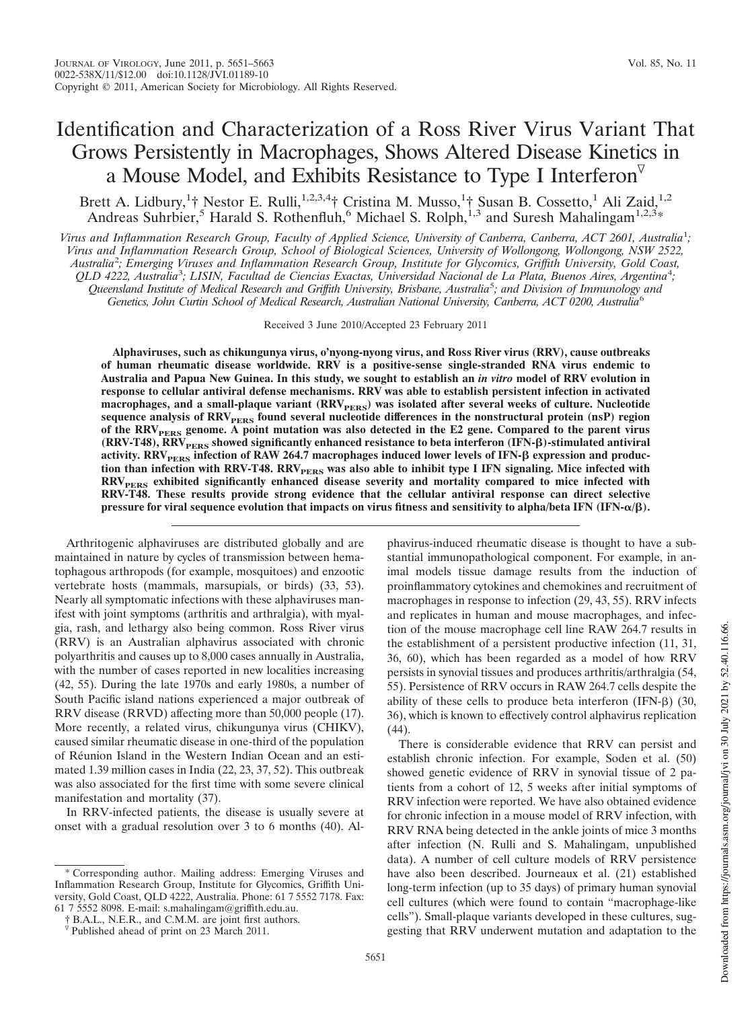# Identification and Characterization of a Ross River Virus Variant That Grows Persistently in Macrophages, Shows Altered Disease Kinetics in a Mouse Model, and Exhibits Resistance to Type I Interferon

Brett A. Lidbury, <sup>1</sup>† Nestor E. Rulli, <sup>1,2,3,4</sup>† Cristina M. Musso, <sup>1</sup>† Susan B. Cossetto, <sup>1</sup> Ali Zaid, <sup>1,2</sup> Andreas Suhrbier,<sup>5</sup> Harald S. Rothenfluh,<sup>6</sup> Michael S. Rolph,<sup>1,3</sup> and Suresh Mahalingam<sup>1,2,3</sup>\*

*Virus and Inflammation Research Group, Faculty of Applied Science, University of Canberra, Canberra, ACT 2601, Australia*<sup>1</sup> *; Virus and Inflammation Research Group, School of Biological Sciences, University of Wollongong, Wollongong, NSW 2522, Australia*<sup>2</sup> *; Emerging Viruses and Inflammation Research Group, Institute for Glycomics, Griffith University, Gold Coast, QLD 4222, Australia*<sup>3</sup> *; LISIN, Facultad de Ciencias Exactas, Universidad Nacional de La Plata, Buenos Aires, Argentina*<sup>4</sup> *; Queensland Institute of Medical Research and Griffith University, Brisbane, Australia*<sup>5</sup> *; and Division of Immunology and Genetics, John Curtin School of Medical Research, Australian National University, Canberra, ACT 0200, Australia*<sup>6</sup>

Received 3 June 2010/Accepted 23 February 2011

**Alphaviruses, such as chikungunya virus, o'nyong-nyong virus, and Ross River virus (RRV), cause outbreaks of human rheumatic disease worldwide. RRV is a positive-sense single-stranded RNA virus endemic to Australia and Papua New Guinea. In this study, we sought to establish an** *in vitro* **model of RRV evolution in response to cellular antiviral defense mechanisms. RRV was able to establish persistent infection in activated macrophages, and a small-plaque variant (RRVPERS) was isolated after several weeks of culture. Nucleotide** sequence analysis of RRV<sub>PERS</sub> found several nucleotide differences in the nonstructural protein (nsP) region **of the RRVPERS genome. A point mutation was also detected in the E2 gene. Compared to the parent virus (RRV-T48), RRVPERS showed significantly enhanced resistance to beta interferon (IFN-)-stimulated antiviral activity. RRVPERS infection of RAW 264.7 macrophages induced lower levels of IFN- expression and produc**tion than infection with RRV-T48. RRV<sub>PERS</sub> was also able to inhibit type I IFN signaling. Mice infected with **RRVPERS exhibited significantly enhanced disease severity and mortality compared to mice infected with RRV-T48. These results provide strong evidence that the cellular antiviral response can direct selective pressure for viral sequence evolution that impacts on virus fitness and sensitivity to alpha/beta IFN (IFN-**-**/).**

Arthritogenic alphaviruses are distributed globally and are maintained in nature by cycles of transmission between hematophagous arthropods (for example, mosquitoes) and enzootic vertebrate hosts (mammals, marsupials, or birds) (33, 53). Nearly all symptomatic infections with these alphaviruses manifest with joint symptoms (arthritis and arthralgia), with myalgia, rash, and lethargy also being common. Ross River virus (RRV) is an Australian alphavirus associated with chronic polyarthritis and causes up to 8,000 cases annually in Australia, with the number of cases reported in new localities increasing (42, 55). During the late 1970s and early 1980s, a number of South Pacific island nations experienced a major outbreak of RRV disease (RRVD) affecting more than 50,000 people (17). More recently, a related virus, chikungunya virus (CHIKV), caused similar rheumatic disease in one-third of the population of Réunion Island in the Western Indian Ocean and an estimated 1.39 million cases in India (22, 23, 37, 52). This outbreak was also associated for the first time with some severe clinical manifestation and mortality (37).

In RRV-infected patients, the disease is usually severe at onset with a gradual resolution over 3 to 6 months (40). Alphavirus-induced rheumatic disease is thought to have a substantial immunopathological component. For example, in animal models tissue damage results from the induction of proinflammatory cytokines and chemokines and recruitment of macrophages in response to infection (29, 43, 55). RRV infects and replicates in human and mouse macrophages, and infection of the mouse macrophage cell line RAW 264.7 results in the establishment of a persistent productive infection (11, 31, 36, 60), which has been regarded as a model of how RRV persists in synovial tissues and produces arthritis/arthralgia (54, 55). Persistence of RRV occurs in RAW 264.7 cells despite the ability of these cells to produce beta interferon  $(IFN- $\beta$ )$  (30, 36), which is known to effectively control alphavirus replication (44).

There is considerable evidence that RRV can persist and establish chronic infection. For example, Soden et al. (50) showed genetic evidence of RRV in synovial tissue of 2 patients from a cohort of 12, 5 weeks after initial symptoms of RRV infection were reported. We have also obtained evidence for chronic infection in a mouse model of RRV infection, with RRV RNA being detected in the ankle joints of mice 3 months after infection (N. Rulli and S. Mahalingam, unpublished data). A number of cell culture models of RRV persistence have also been described. Journeaux et al. (21) established long-term infection (up to 35 days) of primary human synovial cell cultures (which were found to contain "macrophage-like cells"). Small-plaque variants developed in these cultures, suggesting that RRV underwent mutation and adaptation to the

Corresponding author. Mailing address: Emerging Viruses and Inflammation Research Group, Institute for Glycomics, Griffith University, Gold Coast, QLD 4222, Australia. Phone: 61 7 5552 7178. Fax: 61 7 5552 8098. E-mail: s.mahalingam@griffith.edu.au.

<sup>†</sup> B.A.L., N.E.R., and C.M.M. are joint first authors.

 $\overline{v}$  Published ahead of print on 23 March 2011.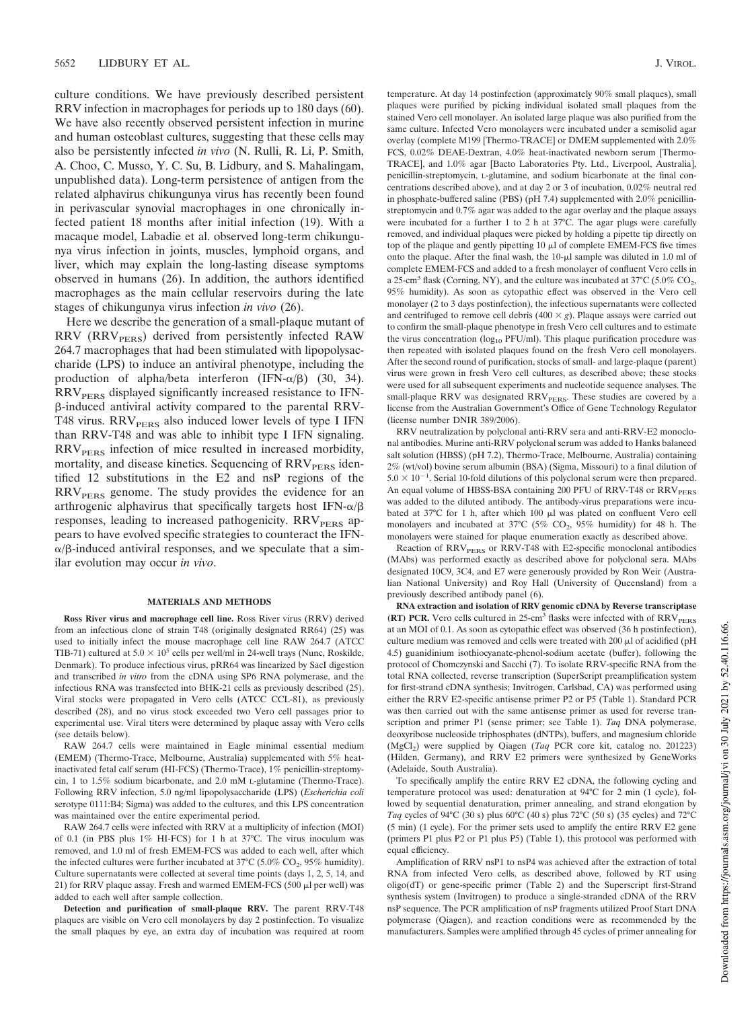culture conditions. We have previously described persistent RRV infection in macrophages for periods up to 180 days (60). We have also recently observed persistent infection in murine and human osteoblast cultures, suggesting that these cells may also be persistently infected *in vivo* (N. Rulli, R. Li, P. Smith, A. Choo, C. Musso, Y. C. Su, B. Lidbury, and S. Mahalingam, unpublished data). Long-term persistence of antigen from the related alphavirus chikungunya virus has recently been found in perivascular synovial macrophages in one chronically infected patient 18 months after initial infection (19). With a macaque model, Labadie et al. observed long-term chikungunya virus infection in joints, muscles, lymphoid organs, and liver, which may explain the long-lasting disease symptoms observed in humans (26). In addition, the authors identified macrophages as the main cellular reservoirs during the late stages of chikungunya virus infection *in vivo* (26).

Here we describe the generation of a small-plaque mutant of RRV (RRV<sub>PERS</sub>) derived from persistently infected RAW 264.7 macrophages that had been stimulated with lipopolysaccharide (LPS) to induce an antiviral phenotype, including the production of alpha/beta interferon  $(IFN-\alpha/\beta)$  (30, 34).  $RRV<sub>PERS</sub>$  displayed significantly increased resistance to IFN--induced antiviral activity compared to the parental RRV-T48 virus.  $RRV<sub>PERS</sub>$  also induced lower levels of type I IFN than RRV-T48 and was able to inhibit type I IFN signaling.  $RRV<sub>PERS</sub>$  infection of mice resulted in increased morbidity, mortality, and disease kinetics. Sequencing of RRV<sub>PERS</sub> identified 12 substitutions in the E2 and nsP regions of the  $RRV<sub>PERS</sub>$  genome. The study provides the evidence for an arthrogenic alphavirus that specifically targets host IFN- $\alpha/\beta$ responses, leading to increased pathogenicity.  $RRV<sub>perss</sub>$  appears to have evolved specific strategies to counteract the IFN-  $\alpha/\beta$ -induced antiviral responses, and we speculate that a similar evolution may occur *in vivo*.

#### **MATERIALS AND METHODS**

**Ross River virus and macrophage cell line.** Ross River virus (RRV) derived from an infectious clone of strain T48 (originally designated RR64) (25) was used to initially infect the mouse macrophage cell line RAW 264.7 (ATCC TIB-71) cultured at  $5.0 \times 10^5$  cells per well/ml in 24-well trays (Nunc, Roskilde, Denmark). To produce infectious virus, pRR64 was linearized by SacI digestion and transcribed *in vitro* from the cDNA using SP6 RNA polymerase, and the infectious RNA was transfected into BHK-21 cells as previously described (25). Viral stocks were propagated in Vero cells (ATCC CCL-81), as previously described (28), and no virus stock exceeded two Vero cell passages prior to experimental use. Viral titers were determined by plaque assay with Vero cells (see details below).

RAW 264.7 cells were maintained in Eagle minimal essential medium (EMEM) (Thermo-Trace, Melbourne, Australia) supplemented with 5% heatinactivated fetal calf serum (HI-FCS) (Thermo-Trace), 1% penicillin-streptomycin, 1 to 1.5% sodium bicarbonate, and 2.0 mM L-glutamine (Thermo-Trace). Following RRV infection, 5.0 ng/ml lipopolysaccharide (LPS) (*Escherichia coli* serotype 0111:B4; Sigma) was added to the cultures, and this LPS concentration was maintained over the entire experimental period.

RAW 264.7 cells were infected with RRV at a multiplicity of infection (MOI) of 0.1 (in PBS plus 1% HI-FCS) for 1 h at 37°C. The virus inoculum was removed, and 1.0 ml of fresh EMEM-FCS was added to each well, after which the infected cultures were further incubated at  $37^{\circ}$ C (5.0% CO<sub>2</sub>, 95% humidity). Culture supernatants were collected at several time points (days 1, 2, 5, 14, and 21) for RRV plaque assay. Fresh and warmed EMEM-FCS (500  $\mu$ l per well) was added to each well after sample collection.

**Detection and purification of small-plaque RRV.** The parent RRV-T48 plaques are visible on Vero cell monolayers by day 2 postinfection. To visualize the small plaques by eye, an extra day of incubation was required at room temperature. At day 14 postinfection (approximately 90% small plaques), small plaques were purified by picking individual isolated small plaques from the stained Vero cell monolayer. An isolated large plaque was also purified from the same culture. Infected Vero monolayers were incubated under a semisolid agar overlay (complete M199 [Thermo-TRACE] or DMEM supplemented with 2.0% FCS, 0.02% DEAE-Dextran, 4.0% heat-inactivated newborn serum [Thermo-TRACE], and 1.0% agar [Bacto Laboratories Pty. Ltd., Liverpool, Australia], penicillin-streptomycin, L-glutamine, and sodium bicarbonate at the final concentrations described above), and at day 2 or 3 of incubation, 0.02% neutral red in phosphate-buffered saline (PBS) (pH 7.4) supplemented with 2.0% penicillinstreptomycin and 0.7% agar was added to the agar overlay and the plaque assays were incubated for a further 1 to 2 h at 37°C. The agar plugs were carefully removed, and individual plaques were picked by holding a pipette tip directly on top of the plaque and gently pipetting  $10 \mu l$  of complete EMEM-FCS five times onto the plaque. After the final wash, the 10-µl sample was diluted in 1.0 ml of complete EMEM-FCS and added to a fresh monolayer of confluent Vero cells in a 25-cm<sup>3</sup> flask (Corning, NY), and the culture was incubated at 37°C (5.0% CO<sub>2</sub>, 95% humidity). As soon as cytopathic effect was observed in the Vero cell monolayer (2 to 3 days postinfection), the infectious supernatants were collected and centrifuged to remove cell debris  $(400 \times g)$ . Plaque assays were carried out to confirm the small-plaque phenotype in fresh Vero cell cultures and to estimate the virus concentration ( $log_{10}$  PFU/ml). This plaque purification procedure was then repeated with isolated plaques found on the fresh Vero cell monolayers. After the second round of purification, stocks of small- and large-plaque (parent) virus were grown in fresh Vero cell cultures, as described above; these stocks were used for all subsequent experiments and nucleotide sequence analyses. The small-plaque RRV was designated RRV<sub>PERS</sub>. These studies are covered by a license from the Australian Government's Office of Gene Technology Regulator (license number DNIR 389/2006).

RRV neutralization by polyclonal anti-RRV sera and anti-RRV-E2 monoclonal antibodies. Murine anti-RRV polyclonal serum was added to Hanks balanced salt solution (HBSS) (pH 7.2), Thermo-Trace, Melbourne, Australia) containing 2% (wt/vol) bovine serum albumin (BSA) (Sigma, Missouri) to a final dilution of  $5.0 \times 10^{-1}$ . Serial 10-fold dilutions of this polyclonal serum were then prepared. An equal volume of HBSS-BSA containing 200 PFU of RRV-T48 or RRV<sub>PERS</sub> was added to the diluted antibody. The antibody-virus preparations were incubated at  $37^{\circ}$ C for 1 h, after which 100  $\mu$ l was plated on confluent Vero cell monolayers and incubated at 37°C (5%  $CO_2$ , 95% humidity) for 48 h. The monolayers were stained for plaque enumeration exactly as described above.

Reaction of RRV<sub>PERS</sub> or RRV-T48 with E2-specific monoclonal antibodies (MAbs) was performed exactly as described above for polyclonal sera. MAbs designated 10C9, 3C4, and E7 were generously provided by Ron Weir (Australian National University) and Roy Hall (University of Queensland) from a previously described antibody panel (6).

**RNA extraction and isolation of RRV genomic cDNA by Reverse transcriptase** (RT) PCR. Vero cells cultured in 25-cm<sup>3</sup> flasks were infected with of RRV<sub>PERS</sub> at an MOI of 0.1. As soon as cytopathic effect was observed (36 h postinfection), culture medium was removed and cells were treated with 200  $\mu$ l of acidified (pH 4.5) guanidinium isothiocyanate-phenol-sodium acetate (buffer), following the protocol of Chomczynski and Sacchi (7). To isolate RRV-specific RNA from the total RNA collected, reverse transcription (SuperScript preamplification system for first-strand cDNA synthesis; Invitrogen, Carlsbad, CA) was performed using either the RRV E2-specific antisense primer P2 or P5 (Table 1). Standard PCR was then carried out with the same antisense primer as used for reverse transcription and primer P1 (sense primer; see Table 1). *Taq* DNA polymerase, deoxyribose nucleoside triphosphates (dNTPs), buffers, and magnesium chloride (MgCl<sup>2</sup> ) were supplied by Qiagen (*Taq* PCR core kit, catalog no. 201223) (Hilden, Germany), and RRV E2 primers were synthesized by GeneWorks (Adelaide, South Australia).

To specifically amplify the entire RRV E2 cDNA, the following cycling and temperature protocol was used: denaturation at 94°C for 2 min (1 cycle), followed by sequential denaturation, primer annealing, and strand elongation by *Taq* cycles of 94°C (30 s) plus 60°C (40 s) plus 72°C (50 s) (35 cycles) and 72°C (5 min) (1 cycle). For the primer sets used to amplify the entire RRV E2 gene (primers P1 plus P2 or P1 plus P5) (Table 1), this protocol was performed with equal efficiency.

Amplification of RRV nsP1 to nsP4 was achieved after the extraction of total RNA from infected Vero cells, as described above, followed by RT using oligo(dT) or gene-specific primer (Table 2) and the Superscript first-Strand synthesis system (Invitrogen) to produce a single-stranded cDNA of the RRV nsP sequence. The PCR amplification of nsP fragments utilized Proof Start DNA polymerase (Qiagen), and reaction conditions were as recommended by the manufacturers. Samples were amplified through 45 cycles of primer annealing for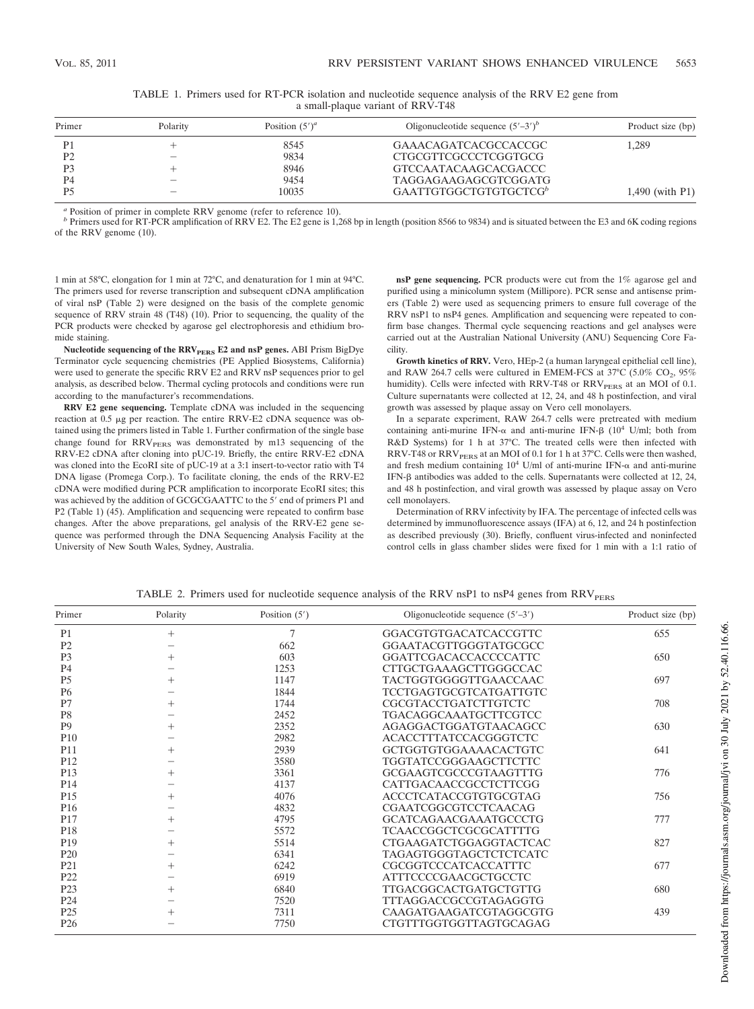| Primer         | Polarity | Position $(5')^a$ | Oligonucleotide sequence $(5' - 3')^b$ | Product size (bp) |
|----------------|----------|-------------------|----------------------------------------|-------------------|
| P <sub>1</sub> |          | 8545              | GAAACAGATCACGCCACCGC                   | 1.289             |
| P <sub>2</sub> |          | 9834              | CTGCGTTCGCCCTCGGTGCG                   |                   |
| P <sub>3</sub> |          | 8946              | GTCCAATACAAGCACGACCC                   |                   |
| P4             |          | 9454              | TAGGAGAAGAGCGTCGGATG                   |                   |
| P5             |          | 10035             | GAATTGTGGCTGTGTGCTCG <sup>b</sup>      | 1,490 (with P1)   |

|  |  |  |  | TABLE 1. Primers used for RT-PCR isolation and nucleotide sequence analysis of the RRV E2 gene from |  |  |  |  |
|--|--|--|--|-----------------------------------------------------------------------------------------------------|--|--|--|--|
|  |  |  |  | a small-plaque variant of RRV-T48                                                                   |  |  |  |  |

*<sup>a</sup>* Position of primer in complete RRV genome (refer to reference 10).

*b* Primers used for RT-PCR amplification of RRV E2. The E2 gene is 1,268 bp in length (position 8566 to 9834) and is situated between the E3 and 6K coding regions of the RRV genome (10).

1 min at 58°C, elongation for 1 min at 72°C, and denaturation for 1 min at 94°C. The primers used for reverse transcription and subsequent cDNA amplification of viral nsP (Table 2) were designed on the basis of the complete genomic sequence of RRV strain 48 (T48) (10). Prior to sequencing, the quality of the PCR products were checked by agarose gel electrophoresis and ethidium bromide staining.

Nucleotide sequencing of the RRV<sub>PERS</sub> E2 and nsP genes. ABI Prism BigDye Terminator cycle sequencing chemistries (PE Applied Biosystems, California) were used to generate the specific RRV E2 and RRV nsP sequences prior to gel analysis, as described below. Thermal cycling protocols and conditions were run according to the manufacturer's recommendations.

**RRV E2 gene sequencing.** Template cDNA was included in the sequencing reaction at 0.5 µg per reaction. The entire RRV-E2 cDNA sequence was obtained using the primers listed in Table 1. Further confirmation of the single base change found for RRV<sub>PERS</sub> was demonstrated by m13 sequencing of the RRV-E2 cDNA after cloning into pUC-19. Briefly, the entire RRV-E2 cDNA was cloned into the EcoRI site of pUC-19 at a 3:1 insert-to-vector ratio with T4 DNA ligase (Promega Corp.). To facilitate cloning, the ends of the RRV-E2 cDNA were modified during PCR amplification to incorporate EcoRI sites; this was achieved by the addition of GCGCGAATTC to the 5' end of primers P1 and P2 (Table 1) (45). Amplification and sequencing were repeated to confirm base changes. After the above preparations, gel analysis of the RRV-E2 gene sequence was performed through the DNA Sequencing Analysis Facility at the University of New South Wales, Sydney, Australia.

**nsP gene sequencing.** PCR products were cut from the 1% agarose gel and purified using a minicolumn system (Millipore). PCR sense and antisense primers (Table 2) were used as sequencing primers to ensure full coverage of the RRV nsP1 to nsP4 genes. Amplification and sequencing were repeated to confirm base changes. Thermal cycle sequencing reactions and gel analyses were carried out at the Australian National University (ANU) Sequencing Core Facility.

**Growth kinetics of RRV.** Vero, HEp-2 (a human laryngeal epithelial cell line), and RAW 264.7 cells were cultured in EMEM-FCS at 37°C (5.0%  $CO_2$ , 95% humidity). Cells were infected with RRV-T48 or  $\mathrm{RRV_{PERS}}$  at an MOI of 0.1. Culture supernatants were collected at 12, 24, and 48 h postinfection, and viral growth was assessed by plaque assay on Vero cell monolayers.

In a separate experiment, RAW 264.7 cells were pretreated with medium containing anti-murine IFN- $\alpha$  and anti-murine IFN- $\beta$  (10<sup>4</sup> U/ml; both from R&D Systems) for 1 h at 37°C. The treated cells were then infected with RRV-T48 or RRV<sub>PERS</sub> at an MOI of 0.1 for 1 h at 37°C. Cells were then washed, and fresh medium containing  $10^4$  U/ml of anti-murine IFN- $\alpha$  and anti-murine IFN- $\beta$  antibodies was added to the cells. Supernatants were collected at 12, 24, and 48 h postinfection, and viral growth was assessed by plaque assay on Vero cell monolayers.

Determination of RRV infectivity by IFA. The percentage of infected cells was determined by immunofluorescence assays (IFA) at 6, 12, and 24 h postinfection as described previously (30). Briefly, confluent virus-infected and noninfected control cells in glass chamber slides were fixed for 1 min with a 1:1 ratio of

| TABLE 2. Primers used for nucleotide sequence analysis of the RRV nsP1 to nsP4 genes from $RRVPERS$ |  |  |  |
|-----------------------------------------------------------------------------------------------------|--|--|--|
|-----------------------------------------------------------------------------------------------------|--|--|--|

| Primer          | Polarity           | Oligonucleotide sequence $(5'-3')$<br>Position $(5')$ |                               | Product size (bp) |  |  |
|-----------------|--------------------|-------------------------------------------------------|-------------------------------|-------------------|--|--|
| P <sub>1</sub>  | $^{+}$             | 7                                                     | GGACGTGTGACATCACCGTTC         | 655               |  |  |
| P <sub>2</sub>  |                    | GGAATACGTTGGGTATGCGCC<br>662                          |                               |                   |  |  |
| P <sub>3</sub>  | $^{+}$             | 603<br><b>GGATTCGACACCACCCCATTC</b>                   |                               | 650               |  |  |
| P <sub>4</sub>  |                    | 1253                                                  | CTTGCTGAAAGCTTGGGCCAC         |                   |  |  |
| P <sub>5</sub>  | $^{+}$             | 1147                                                  | TACTGGTGGGGTTGAACCAAC         | 697               |  |  |
| P <sub>6</sub>  |                    | 1844                                                  | <b>TCCTGAGTGCGTCATGATTGTC</b> |                   |  |  |
| P7              | $\hspace{0.1mm} +$ | 1744                                                  | CGCGTACCTGATCTTGTCTC          | 708               |  |  |
| P <sub>8</sub>  |                    | 2452                                                  | <b>TGACAGGCAAATGCTTCGTCC</b>  |                   |  |  |
| P <sub>9</sub>  | $^{+}$             | 2352                                                  | AGAGGACTGGATGTAACAGCC         | 630               |  |  |
| P10             |                    | 2982                                                  | <b>ACACCTTTATCCACGGGTCTC</b>  |                   |  |  |
| P <sub>11</sub> |                    | 2939                                                  | <b>GCTGGTGTGGAAAACACTGTC</b>  | 641               |  |  |
| P <sub>12</sub> |                    | 3580                                                  | <b>TGGTATCCGGGAAGCTTCTTC</b>  |                   |  |  |
| P <sub>13</sub> | $^{+}$             | 3361                                                  | <b>GCGAAGTCGCCCGTAAGTTTG</b>  | 776               |  |  |
| P <sub>14</sub> |                    | 4137                                                  | <b>CATTGACAACCGCCTCTTCGG</b>  |                   |  |  |
| P <sub>15</sub> | $^{+}$             | 4076                                                  | ACCCTCATACCGTGTGCGTAG         | 756               |  |  |
| P <sub>16</sub> |                    | 4832                                                  | CGAATCGGCGTCCTCAACAG          |                   |  |  |
| P <sub>17</sub> | $^{+}$             | 4795                                                  | <b>GCATCAGAACGAAATGCCCTG</b>  | 777               |  |  |
| P <sub>18</sub> |                    | 5572                                                  | <b>TCAACCGGCTCGCGCATTTTG</b>  |                   |  |  |
| P <sub>19</sub> | $^{+}$             | 5514                                                  | CTGAAGATCTGGAGGTACTCAC        | 827               |  |  |
| P <sub>20</sub> |                    | 6341                                                  | <b>TAGAGTGGGTAGCTCTCTCATC</b> |                   |  |  |
| P <sub>21</sub> | $^{+}$             | 6242                                                  | CGCGGTCCCATCACCATTTC          | 677               |  |  |
| P <sub>22</sub> |                    | 6919                                                  | <b>ATTTCCCCGAACGCTGCCTC</b>   |                   |  |  |
| P <sub>23</sub> | $^{+}$             | 6840                                                  | <b>TTGACGGCACTGATGCTGTTG</b>  | 680               |  |  |
| P <sub>24</sub> |                    | 7520                                                  | <b>TTTAGGACCGCCGTAGAGGTG</b>  |                   |  |  |
| P <sub>25</sub> |                    | 7311                                                  | CAAGATGAAGATCGTAGGCGTG        | 439               |  |  |
| P <sub>26</sub> |                    | 7750                                                  | CTGTTTGGTGGTTAGTGCAGAG        |                   |  |  |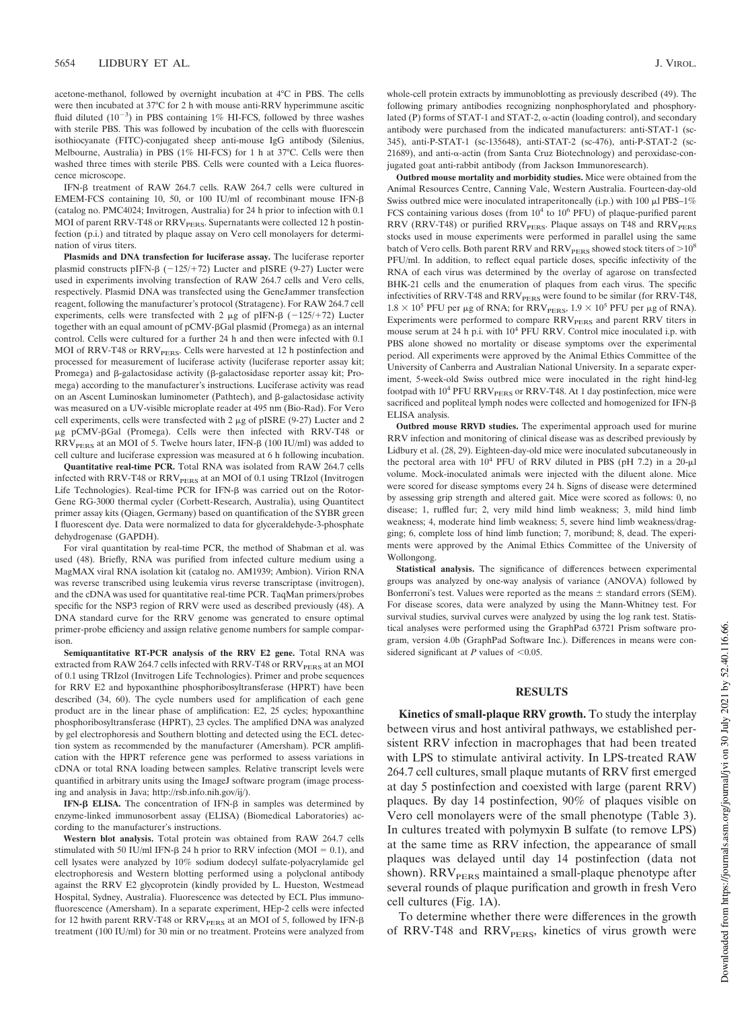acetone-methanol, followed by overnight incubation at 4°C in PBS. The cells were then incubated at 37°C for 2 h with mouse anti-RRV hyperimmune ascitic fluid diluted  $(10^{-3})$  in PBS containing 1% HI-FCS, followed by three washes with sterile PBS. This was followed by incubation of the cells with fluorescein isothiocyanate (FITC)-conjugated sheep anti-mouse IgG antibody (Silenius, Melbourne, Australia) in PBS (1% HI-FCS) for 1 h at 37°C. Cells were then washed three times with sterile PBS. Cells were counted with a Leica fluorescence microscope.

IFN- $\beta$  treatment of RAW 264.7 cells. RAW 264.7 cells were cultured in EMEM-FCS containing 10, 50, or 100 IU/ml of recombinant mouse IFN- $\beta$ (catalog no. PMC4024; Invitrogen, Australia) for 24 h prior to infection with 0.1 MOI of parent RRV-T48 or RRV<sub>PERS</sub>. Supernatants were collected 12 h postinfection (p.i.) and titrated by plaque assay on Vero cell monolayers for determination of virus titers.

**Plasmids and DNA transfection for luciferase assay.** The luciferase reporter plasmid constructs pIFN- $\beta$  (-125/+72) Lucter and pISRE (9-27) Lucter were used in experiments involving transfection of RAW 264.7 cells and Vero cells, respectively. Plasmid DNA was transfected using the GeneJammer transfection reagent, following the manufacturer's protocol (Stratagene). For RAW 264.7 cell experiments, cells were transfected with 2  $\mu$ g of pIFN- $\beta$  (-125/+72) Lucter together with an equal amount of pCMV-ßGal plasmid (Promega) as an internal control. Cells were cultured for a further 24 h and then were infected with 0.1 MOI of RRV-T48 or RRV<sub>PERS</sub>. Cells were harvested at 12 h postinfection and processed for measurement of luciferase activity (luciferase reporter assay kit; Promega) and  $\beta$ -galactosidase activity ( $\beta$ -galactosidase reporter assay kit; Promega) according to the manufacturer's instructions. Luciferase activity was read on an Ascent Luminoskan luminometer (Pathtech), and  $\beta$ -galactosidase activity was measured on a UV-visible microplate reader at 495 nm (Bio-Rad). For Vero cell experiments, cells were transfected with  $2 \mu$ g of pISRE (9-27) Lucter and  $2$ g pCMV-Gal (Promega). Cells were then infected with RRV-T48 or  $RRV<sub>PERS</sub>$  at an MOI of 5. Twelve hours later, IFN- $\beta$  (100 IU/ml) was added to cell culture and luciferase expression was measured at 6 h following incubation.

**Quantitative real-time PCR.** Total RNA was isolated from RAW 264.7 cells infected with RRV-T48 or RRV<sub>PERS</sub> at an MOI of 0.1 using TRIzol (Invitrogen Life Technologies). Real-time PCR for IFN- $\beta$  was carried out on the Rotor-Gene RG-3000 thermal cycler (Corbett-Research, Australia), using Quantitect primer assay kits (Qiagen, Germany) based on quantification of the SYBR green I fluorescent dye. Data were normalized to data for glyceraldehyde-3-phosphate dehydrogenase (GAPDH).

For viral quantitation by real-time PCR, the method of Shabman et al. was used (48). Briefly, RNA was purified from infected culture medium using a MagMAX viral RNA isolation kit (catalog no. AM1939; Ambion). Virion RNA was reverse transcribed using leukemia virus reverse transcriptase (invitrogen), and the cDNA was used for quantitative real-time PCR. TaqMan primers/probes specific for the NSP3 region of RRV were used as described previously (48). A DNA standard curve for the RRV genome was generated to ensure optimal primer-probe efficiency and assign relative genome numbers for sample comparison.

**Semiquantitative RT-PCR analysis of the RRV E2 gene.** Total RNA was extracted from RAW 264.7 cells infected with RRV-T48 or RRV<sub>PERS</sub> at an MOI of 0.1 using TRIzol (Invitrogen Life Technologies). Primer and probe sequences for RRV E2 and hypoxanthine phosphoribosyltransferase (HPRT) have been described (34, 60). The cycle numbers used for amplification of each gene product are in the linear phase of amplification: E2, 25 cycles; hypoxanthine phosphoribosyltransferase (HPRT), 23 cycles. The amplified DNA was analyzed by gel electrophoresis and Southern blotting and detected using the ECL detection system as recommended by the manufacturer (Amersham). PCR amplification with the HPRT reference gene was performed to assess variations in cDNA or total RNA loading between samples. Relative transcript levels were quantified in arbitrary units using the ImageJ software program (image processing and analysis in Java; http://rsb.info.nih.gov/ij/).

**IFN-** $\beta$  **ELISA.** The concentration of IFN- $\beta$  in samples was determined by enzyme-linked immunosorbent assay (ELISA) (Biomedical Laboratories) according to the manufacturer's instructions.

**Western blot analysis.** Total protein was obtained from RAW 264.7 cells stimulated with 50 IU/ml IFN- $\beta$  24 h prior to RRV infection (MOI = 0.1), and cell lysates were analyzed by 10% sodium dodecyl sulfate-polyacrylamide gel electrophoresis and Western blotting performed using a polyclonal antibody against the RRV E2 glycoprotein (kindly provided by L. Hueston, Westmead Hospital, Sydney, Australia). Fluorescence was detected by ECL Plus immunofluorescence (Amersham). In a separate experiment, HEp-2 cells were infected for 12 hwith parent RRV-T48 or  $RRV<sub>PERS</sub>$  at an MOI of 5, followed by IFN- $\beta$ treatment (100 IU/ml) for 30 min or no treatment. Proteins were analyzed from whole-cell protein extracts by immunoblotting as previously described (49). The following primary antibodies recognizing nonphosphorylated and phosphorylated (P) forms of STAT-1 and STAT-2,  $\alpha$ -actin (loading control), and secondary antibody were purchased from the indicated manufacturers: anti-STAT-1 (sc-345), anti-P-STAT-1 (sc-135648), anti-STAT-2 (sc-476), anti-P-STAT-2 (sc-21689), and anti- $\alpha$ -actin (from Santa Cruz Biotechnology) and peroxidase-conjugated goat anti-rabbit antibody (from Jackson Immunoresearch).

**Outbred mouse mortality and morbidity studies.** Mice were obtained from the Animal Resources Centre, Canning Vale, Western Australia. Fourteen-day-old Swiss outbred mice were inoculated intraperitoneally (i.p.) with 100  $\mu$ l PBS-1% FCS containing various doses (from 10<sup>4</sup> to 10<sup>6</sup> PFU) of plaque-purified parent RRV (RRV-T48) or purified  $RRV<sub>PERS</sub>$ . Plaque assays on T48 and  $RRV<sub>PERS</sub>$ stocks used in mouse experiments were performed in parallel using the same batch of Vero cells. Both parent RRV and  $\mathrm{RRV}_\mathrm{PERS}$  showed stock titers of  $> \! 10^8$ PFU/ml. In addition, to reflect equal particle doses, specific infectivity of the RNA of each virus was determined by the overlay of agarose on transfected BHK-21 cells and the enumeration of plaques from each virus. The specific infectivities of RRV-T48 and  $\mathrm{RRV}_\mathrm{PERS}$  were found to be similar (for RRV-T48,  $1.8 \times 10^5$  PFU per  $\mu$ g of RNA; for RRV<sub>PERS</sub>,  $1.9 \times 10^5$  PFU per  $\mu$ g of RNA). Experiments were performed to compare RRV<sub>PERS</sub> and parent RRV titers in mouse serum at 24 h p.i. with 10<sup>4</sup> PFU RRV. Control mice inoculated i.p. with PBS alone showed no mortality or disease symptoms over the experimental period. All experiments were approved by the Animal Ethics Committee of the University of Canberra and Australian National University. In a separate experiment, 5-week-old Swiss outbred mice were inoculated in the right hind-leg footpad with  $10^4$  PFU RRV<sub>PERS</sub> or RRV-T48. At 1 day postinfection, mice were sacrificed and popliteal lymph nodes were collected and homogenized for IFN- ELISA analysis.

**Outbred mouse RRVD studies.** The experimental approach used for murine RRV infection and monitoring of clinical disease was as described previously by Lidbury et al. (28, 29). Eighteen-day-old mice were inoculated subcutaneously in the pectoral area with  $10^4$  PFU of RRV diluted in PBS (pH 7.2) in a 20- $\mu$ l volume. Mock-inoculated animals were injected with the diluent alone. Mice were scored for disease symptoms every 24 h. Signs of disease were determined by assessing grip strength and altered gait. Mice were scored as follows: 0, no disease; 1, ruffled fur; 2, very mild hind limb weakness; 3, mild hind limb weakness; 4, moderate hind limb weakness; 5, severe hind limb weakness/dragging; 6, complete loss of hind limb function; 7, moribund; 8, dead. The experiments were approved by the Animal Ethics Committee of the University of Wollongong.

**Statistical analysis.** The significance of differences between experimental groups was analyzed by one-way analysis of variance (ANOVA) followed by Bonferroni's test. Values were reported as the means  $\pm$  standard errors (SEM). For disease scores, data were analyzed by using the Mann-Whitney test. For survival studies, survival curves were analyzed by using the log rank test. Statistical analyses were performed using the GraphPad 63721 Prism software program, version 4.0b (GraphPad Software Inc.). Differences in means were considered significant at  $P$  values of <0.05.

## **RESULTS**

**Kinetics of small-plaque RRV growth.** To study the interplay between virus and host antiviral pathways, we established persistent RRV infection in macrophages that had been treated with LPS to stimulate antiviral activity. In LPS-treated RAW 264.7 cell cultures, small plaque mutants of RRV first emerged at day 5 postinfection and coexisted with large (parent RRV) plaques. By day 14 postinfection, 90% of plaques visible on Vero cell monolayers were of the small phenotype (Table 3). In cultures treated with polymyxin B sulfate (to remove LPS) at the same time as RRV infection, the appearance of small plaques was delayed until day 14 postinfection (data not shown). RRV<sub>PERS</sub> maintained a small-plaque phenotype after several rounds of plaque purification and growth in fresh Vero cell cultures (Fig. 1A).

To determine whether there were differences in the growth of RRV-T48 and  $RRV<sub>PERS</sub>$ , kinetics of virus growth were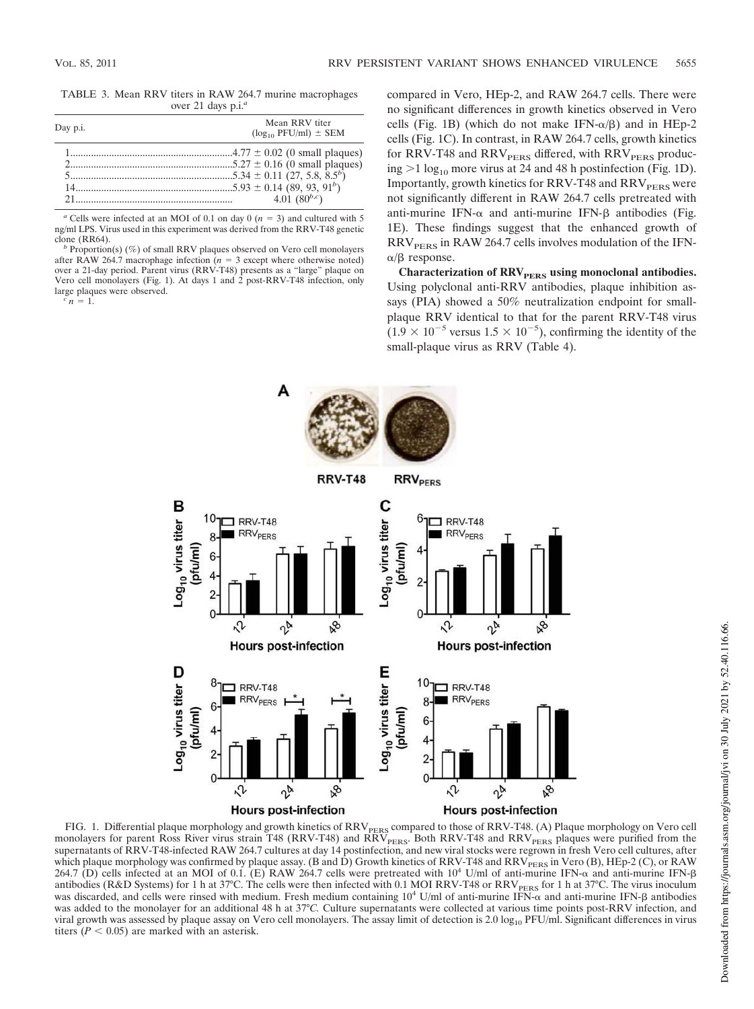TABLE 3. Mean RRV titers in RAW 264.7 murine macrophages over 21 days p.i.*<sup>a</sup>*

| Day p.i. | Mean RRV titer<br>$(\log_{10}$ PFU/ml) $\pm$ SEM |
|----------|--------------------------------------------------|
|          |                                                  |
| 21       | 4.01 $(80^{b,c})$                                |

 $a$  Cells were infected at an MOI of 0.1 on day 0 ( $n = 3$ ) and cultured with 5 ng/ml LPS. Virus used in this experiment was derived from the RRV-T48 genetic clone (RR64).

*b* Proportion(s) (%) of small RRV plaques observed on Vero cell monolayers after RAW 264.7 macrophage infection ( $n = 3$  except where otherwise noted) over a 21-day period. Parent virus (RRV-T48) presents as a "large" plaque on Vero cell monolayers (Fig. 1). At days 1 and 2 post-RRV-T48 infection, only large plaques were observed.

 $\sum_{i=1}^{c} n_i = 1$ .

compared in Vero, HEp-2, and RAW 264.7 cells. There were no significant differences in growth kinetics observed in Vero cells (Fig. 1B) (which do not make  $IFN-\alpha/\beta$ ) and in HEp-2 cells (Fig. 1C). In contrast, in RAW 264.7 cells, growth kinetics for RRV-T48 and  $RRV<sub>PERS</sub>$  differed, with  $RRV<sub>PERS</sub>$  producing  $>1 \log_{10}$  more virus at 24 and 48 h postinfection (Fig. 1D). Importantly, growth kinetics for RRV-T48 and  $RRV<sub>PERS</sub>$  were not significantly different in RAW 264.7 cells pretreated with anti-murine IFN- $\alpha$  and anti-murine IFN- $\beta$  antibodies (Fig. 1E). These findings suggest that the enhanced growth of  $RRV<sub>PERS</sub>$  in RAW 264.7 cells involves modulation of the IFN- $\alpha/\beta$  response.

**Characterization of RRVPERS using monoclonal antibodies.** Using polyclonal anti-RRV antibodies, plaque inhibition assays (PIA) showed a 50% neutralization endpoint for smallplaque RRV identical to that for the parent RRV-T48 virus  $(1.9 \times 10^{-5} \text{ versus } 1.5 \times 10^{-5})$ , confirming the identity of the small-plaque virus as RRV (Table 4).



FIG. 1. Differential plaque morphology and growth kinetics of  $\mathrm{RRV_{PERS}}$  compared to those of  $\mathrm{RRV{\text{-}T48}.}$  (A) Plaque morphology on Vero cell monolayers for parent Ross River virus strain T48 (RRV-T48) and RRV<sub>PERS</sub>. Both RRV-T48 and RRV<sub>PERS</sub> plaques were purified from the supernatants of RRV-T48-infected RAW 264.7 cultures at day 14 postinfection, and new viral stocks were regrown in fresh Vero cell cultures, after which plaque morphology was confirmed by plaque assay. (B and D) Growth kinetics of RRV-T48 and RRV<sub>PERS</sub> in Vero (B), HEp-2 (C), or RAW<br>264.7 (D) cells infected at an MOI of 0.1. (E) RAW 264.7 cells were pretreated with antibodies (R&D Systems) for 1 h at 37°C. The cells were then infected with 0.1 MOI RRV-T48 or RRV<sub>PERS</sub> for 1 h at 37°C. The virus inoculum was discarded, and cells were rinsed with medium. Fresh medium containing  $10^4$  U/ml of anti-murine IFN- $\alpha$  and anti-murine IFN- $\beta$  antibodies was added to the monolayer for an additional 48 h at 37°*C.* Culture supernatants were collected at various time points post-RRV infection, and viral growth was assessed by plaque assay on Vero cell monolayers. The assay limit of detection is 2.0  $log_{10}$  PFU/ml. Significant differences in virus titers ( $P < 0.05$ ) are marked with an asterisk.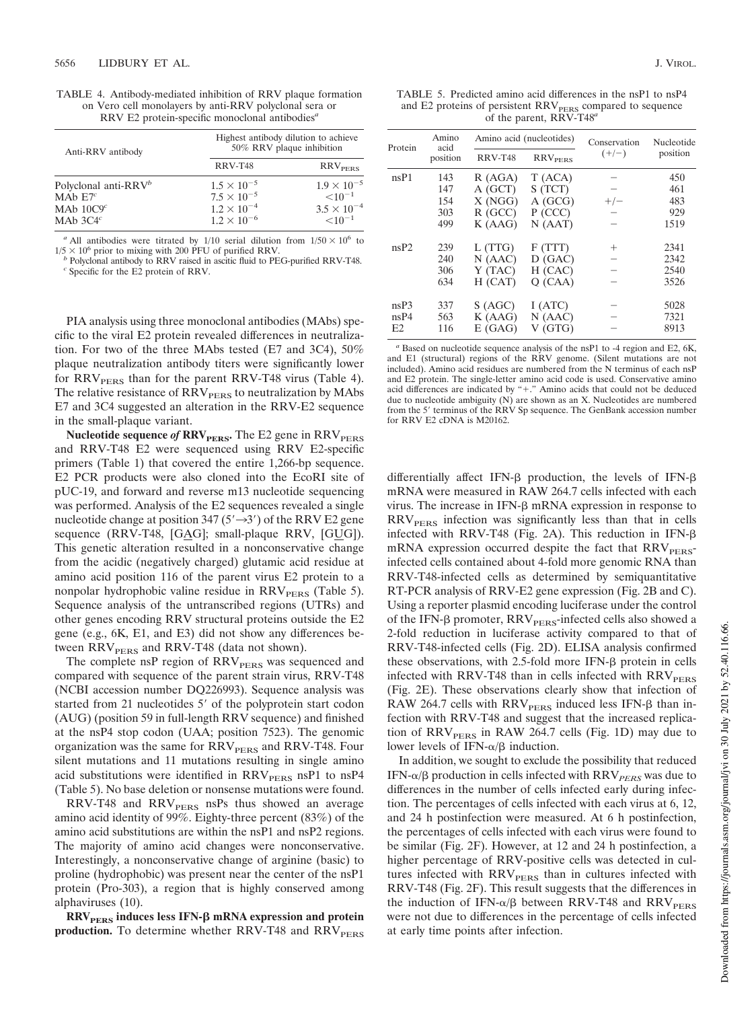| TABLE 4. Antibody-mediated inhibition of RRV plaque formation           |
|-------------------------------------------------------------------------|
| on Vero cell monolayers by anti-RRV polyclonal sera or                  |
| RRV E2 protein-specific monoclonal antibodies <sup><math>a</math></sup> |

| Anti-RRV antibody                                                            | Highest antibody dilution to achieve<br>50% RRV plaque inhibition                            |                                                                               |  |  |  |
|------------------------------------------------------------------------------|----------------------------------------------------------------------------------------------|-------------------------------------------------------------------------------|--|--|--|
|                                                                              | RRV-T48                                                                                      | RRV <sub>prrs</sub>                                                           |  |  |  |
| Polyclonal anti-RRV <sup>b</sup><br>MAb $E7^c$<br>MAb $10C9c$<br>MAb $3C4^c$ | $1.5 \times 10^{-5}$<br>$7.5 \times 10^{-5}$<br>$1.2 \times 10^{-4}$<br>$1.2 \times 10^{-6}$ | $1.9 \times 10^{-5}$<br>$\leq 10^{-1}$<br>$3.5 \times 10^{-4}$<br>$< 10^{-1}$ |  |  |  |

<sup>*a*</sup> All antibodies were titrated by  $1/10$  serial dilution from  $1/50 \times 10^6$  to  $1/5 \times 10^6$  prior to mixing with 200 PFU of purified RRV.

*b* Polyclonal antibody to RRV raised in ascitic fluid to PEG-purified RRV-T48.  $c^c$  Specific for the E2 protein of RRV.

PIA analysis using three monoclonal antibodies (MAbs) specific to the viral E2 protein revealed differences in neutralization. For two of the three MAbs tested (E7 and 3C4), 50% plaque neutralization antibody titers were significantly lower for  $RRV<sub>pers</sub>$  than for the parent RRV-T48 virus (Table 4). The relative resistance of  $RRV<sub>PERS</sub>$  to neutralization by MAbs E7 and 3C4 suggested an alteration in the RRV-E2 sequence in the small-plaque variant.

**Nucleotide sequence of RRV<sub>PERS</sub>**. The E2 gene in RRV<sub>PERS</sub> and RRV-T48 E2 were sequenced using RRV E2-specific primers (Table 1) that covered the entire 1,266-bp sequence. E2 PCR products were also cloned into the EcoRI site of pUC-19, and forward and reverse m13 nucleotide sequencing was performed. Analysis of the E2 sequences revealed a single nucleotide change at position 347 ( $5' \rightarrow 3'$ ) of the RRV E2 gene sequence (RRV-T48, [G $\Delta$ G]; small-plaque RRV, [G $\Delta$ G]). This genetic alteration resulted in a nonconservative change from the acidic (negatively charged) glutamic acid residue at amino acid position 116 of the parent virus E2 protein to a nonpolar hydrophobic valine residue in  $RRV<sub>PERS</sub>$  (Table 5). Sequence analysis of the untranscribed regions (UTRs) and other genes encoding RRV structural proteins outside the E2 gene (e.g., 6K, E1, and E3) did not show any differences between RRV<sub>PERS</sub> and RRV-T48 (data not shown).

The complete nsP region of  $RRV<sub>PERS</sub>$  was sequenced and compared with sequence of the parent strain virus, RRV-T48 (NCBI accession number DQ226993). Sequence analysis was started from 21 nucleotides 5' of the polyprotein start codon (AUG) (position 59 in full-length RRV sequence) and finished at the nsP4 stop codon (UAA; position 7523). The genomic organization was the same for  $RRV<sub>PERS</sub>$  and  $RRV-T48$ . Four silent mutations and 11 mutations resulting in single amino acid substitutions were identified in  $RRV<sub>PERS</sub>$  nsP1 to nsP4 (Table 5). No base deletion or nonsense mutations were found.

RRV-T48 and RRV<sub>PERS</sub> nsPs thus showed an average amino acid identity of 99%. Eighty-three percent (83%) of the amino acid substitutions are within the nsP1 and nsP2 regions. The majority of amino acid changes were nonconservative. Interestingly, a nonconservative change of arginine (basic) to proline (hydrophobic) was present near the center of the nsP1 protein (Pro-303), a region that is highly conserved among alphaviruses (10).

 $RRV<sub>pers</sub>$  induces less IFN- $\beta$  mRNA expression and protein production. To determine whether RRV-T48 and RRV<sub>PERS</sub>

TABLE 5. Predicted amino acid differences in the nsP1 to nsP4 and E2 proteins of persistent RRV<sub>PERS</sub> compared to sequence of the parent, RRV-T48*<sup>a</sup>*

| Protein | Amino<br>acid |                | Amino acid (nucleotides)  | Conservation | Nucleotide |  |
|---------|---------------|----------------|---------------------------|--------------|------------|--|
|         | position      | <b>RRV-T48</b> | <b>RRV<sub>PERS</sub></b> | $(+/-)$      | position   |  |
| nsP1    | 143           | R(AGA)         | T (ACA)                   |              | 450        |  |
|         | 147           | A(GCT)         | S (TCT)                   |              | 461        |  |
|         | 154           | X(NGG)         | A(GCG)                    | $+/-$        | 483        |  |
|         | 303           | $R$ (GCC)      | $P$ (CCC)                 |              | 929        |  |
|         | 499           | K(AAG)         | N(AAT)                    |              | 1519       |  |
| nsP2    | 239           | L (TTG)        | F(TTT)                    | $^{+}$       | 2341       |  |
|         | 240           | N(AAC)         | D(GAC)                    |              | 2342       |  |
|         | 306           | Y (TAC)        | H (CAC)                   |              | 2540       |  |
|         | 634           | H (CAT)        | O(CAA)                    |              | 3526       |  |
| nsP3    | 337           | S(AGC)         | I (ATC)                   |              | 5028       |  |
| nsP4    | 563           | K(AAG)         | N(AAC)                    |              | 7321       |  |
| E2      | 116           | E(GAG)         | V (GTG)                   |              | 8913       |  |

*<sup>a</sup>* Based on nucleotide sequence analysis of the nsP1 to -4 region and E2, 6K, and E1 (structural) regions of the RRV genome. (Silent mutations are not included). Amino acid residues are numbered from the N terminus of each nsP and E2 protein. The single-letter amino acid code is used. Conservative amino acid differences are indicated by " $+$ ." Amino acids that could not be deduced due to nucleotide ambiguity  $(N)$  are shown as an X. Nucleotides are numbered from the 5' terminus of the RRV Sp sequence. The GenBank accession number for RRV E2 cDNA is M20162.

differentially affect IFN- $\beta$  production, the levels of IFN- $\beta$ mRNA were measured in RAW 264.7 cells infected with each virus. The increase in IFN- $\beta$  mRNA expression in response to  $RRV<sub>PERS</sub>$  infection was significantly less than that in cells infected with RRV-T48 (Fig. 2A). This reduction in IFN- $\beta$ mRNA expression occurred despite the fact that  $RRV<sub>PERS</sub>$ infected cells contained about 4-fold more genomic RNA than RRV-T48-infected cells as determined by semiquantitative RT-PCR analysis of RRV-E2 gene expression (Fig. 2B and C). Using a reporter plasmid encoding luciferase under the control of the IFN- $\beta$  promoter, RRV $_{\rm PERS}$ -infected cells also showed a 2-fold reduction in luciferase activity compared to that of RRV-T48-infected cells (Fig. 2D). ELISA analysis confirmed these observations, with 2.5-fold more IFN- $\beta$  protein in cells infected with RRV-T48 than in cells infected with RRV<sub>PERS</sub> (Fig. 2E). These observations clearly show that infection of RAW 264.7 cells with  $RRV<sub>PERS</sub>$  induced less IFN- $\beta$  than infection with RRV-T48 and suggest that the increased replication of  $RRV<sub>PERS</sub>$  in RAW 264.7 cells (Fig. 1D) may due to lower levels of IFN- $\alpha/\beta$  induction.

In addition, we sought to exclude the possibility that reduced IFN-α/β production in cells infected with RRV<sub>PERS</sub> was due to differences in the number of cells infected early during infection. The percentages of cells infected with each virus at 6, 12, and 24 h postinfection were measured. At 6 h postinfection, the percentages of cells infected with each virus were found to be similar (Fig. 2F). However, at 12 and 24 h postinfection, a higher percentage of RRV-positive cells was detected in cultures infected with  $RRV<sub>PERS</sub>$  than in cultures infected with RRV-T48 (Fig. 2F). This result suggests that the differences in the induction of IFN- $\alpha/\beta$  between RRV-T48 and RRV<sub>PERS</sub> were not due to differences in the percentage of cells infected at early time points after infection.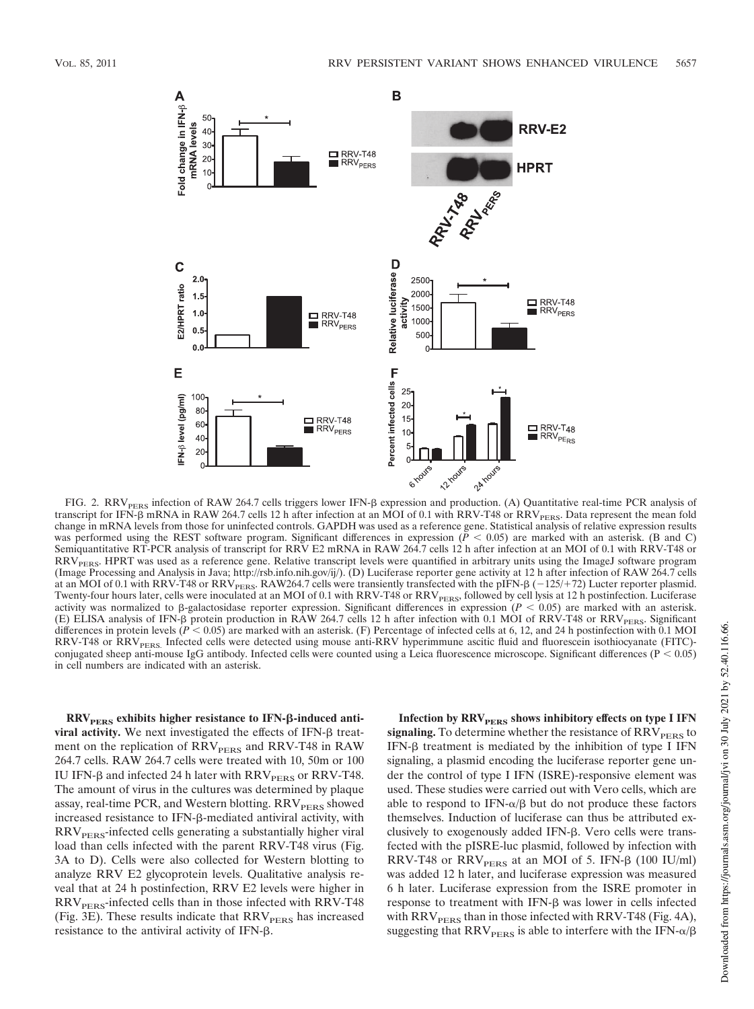

FIG. 2. RRV<sub>PERS</sub> infection of RAW 264.7 cells triggers lower IFN- $\beta$  expression and production. (A) Quantitative real-time PCR analysis of transcript for IFN- $\beta$  mRNA in RAW 264.7 cells 12 h after infection at an MOI of 0.1 with RRV-T48 or RRV<sub>PERS</sub>. Data represent the mean fold change in mRNA levels from those for uninfected controls. GAPDH was used as a reference gene. Statistical analysis of relative expression results was performed using the REST software program. Significant differences in expression  $(\bar{P} < 0.05)$  are marked with an asterisk. (B and C) Semiquantitative RT-PCR analysis of transcript for RRV E2 mRNA in RAW 264.7 cells 12 h after infection at an MOI of 0.1 with RRV-T48 or  $RRV<sub>PERS</sub>$ . HPRT was used as a reference gene. Relative transcript levels were quantified in arbitrary units using the ImageJ software program (Image Processing and Analysis in Java; http://rsb.info.nih.gov/ij/). (D) Luciferase reporter gene activity at 12 h after infection of RAW 264.7 cells at an MOI of 0.1 with RRV-T48 or RRV<sub>PERS</sub>. RAW264.7 cells were transiently transfected with the pIFN- $\beta$  (-125/+72) Lucter reporter plasmid. Twenty-four hours later, cells were inoculated at an MOI of 0.1 with RRV-T48 or RRV<sub>PERS</sub>, followed by cell lysis at 12 h postinfection. Luciferase activity was normalized to  $\beta$ -galactosidase reporter expression. Significant differences in expression ( $P < 0.05$ ) are marked with an asterisk. (E) ELISA analysis of IFN- $\beta$  protein production in RAW 264.7 cells 12 h after infection with 0.1 MOI of RRV-T48 or RRV<sub>PERS</sub>. Significant differences in protein levels ( $P < 0.05$ ) are marked with an asterisk. (F) Percen RRV-T48 or RRV<sub>PERS.</sub> Infected cells were detected using mouse anti-RRV hyperimmune ascitic fluid and fluorescein isothiocyanate (FITC)conjugated sheep anti-mouse IgG antibody. Infected cells were counted using a Leica fluorescence microscope. Significant differences ( $P < 0.05$ ) in cell numbers are indicated with an asterisk.

**RRVPERS exhibits higher resistance to IFN--induced anti** $viral$  activity. We next investigated the effects of IFN- $\beta$  treatment on the replication of  $RRV<sub>PERS</sub>$  and RRV-T48 in RAW 264.7 cells. RAW 264.7 cells were treated with 10, 50m or 100 IU IFN- $\beta$  and infected 24 h later with RRV<sub>PERS</sub> or RRV-T48. The amount of virus in the cultures was determined by plaque assay, real-time PCR, and Western blotting. RRV<sub>PERS</sub> showed increased resistance to IFN- $\beta$ -mediated antiviral activity, with  $RRV<sub>PERS</sub>$ -infected cells generating a substantially higher viral load than cells infected with the parent RRV-T48 virus (Fig. 3A to D). Cells were also collected for Western blotting to analyze RRV E2 glycoprotein levels. Qualitative analysis reveal that at 24 h postinfection, RRV E2 levels were higher in RRV<sub>PERS</sub>-infected cells than in those infected with RRV-T48 (Fig. 3E). These results indicate that  $RRV<sub>PERS</sub>$  has increased resistance to the antiviral activity of IFN- $\beta$ .

Infection by RRV<sub>PERS</sub> shows inhibitory effects on type I IFN **signaling.** To determine whether the resistance of  $RRV<sub>PERS</sub>$  to  $IFN-\beta$  treatment is mediated by the inhibition of type I IFN signaling, a plasmid encoding the luciferase reporter gene under the control of type I IFN (ISRE)-responsive element was used. These studies were carried out with Vero cells, which are able to respond to  $IFN-\alpha/\beta$  but do not produce these factors themselves. Induction of luciferase can thus be attributed exclusively to exogenously added IFN- $\beta$ . Vero cells were transfected with the pISRE-luc plasmid, followed by infection with RRV-T48 or  $RRV<sub>PERS</sub>$  at an MOI of 5. IFN- $\beta$  (100 IU/ml) was added 12 h later, and luciferase expression was measured 6 h later. Luciferase expression from the ISRE promoter in response to treatment with IFN- $\beta$  was lower in cells infected with  $RRV<sub>pers</sub>$  than in those infected with RRV-T48 (Fig. 4A), suggesting that RRV $_{\rm PERS}$  is able to interfere with the IFN- $\alpha/\beta$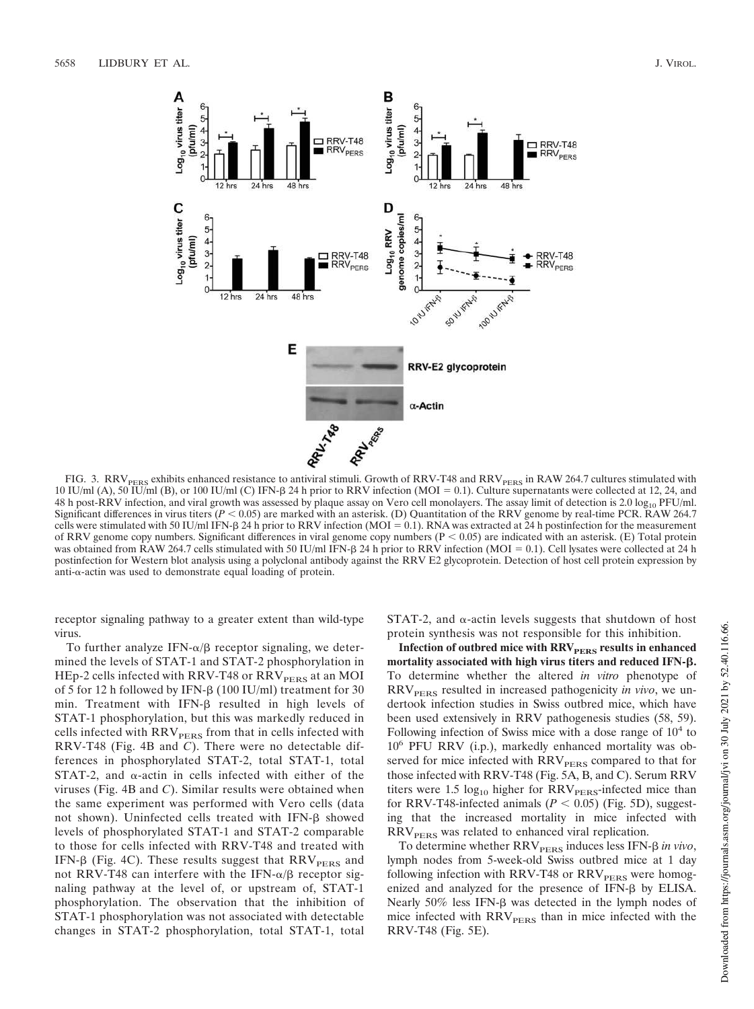

FIG. 3.  $RRV<sub>PERS</sub>$  exhibits enhanced resistance to antiviral stimuli. Growth of RRV-T48 and RRV<sub>PERS</sub> in RAW 264.7 cultures stimulated with 10 IU/ml (A), 50 IU/ml (B), or 100 IU/ml (C) IFN- $\beta$  24 h prior to RRV infection (MOI = 0.1). Culture supernatants were collected at 12, 24, and 48 h post-RRV infection, and viral growth was assessed by plaque assay on Vero cell monolayers. The assay limit of detection is 2.0  $\log_{10}$  PFU/ml. Significant differences in virus titers ( $P < 0.05$ ) are marked with an asterisk. (D) Quantitation of the RRV genome by real-time PCR. RAW 264.7 cells were stimulated with 50 IU/ml IFN- $\beta$  24 h prior to RRV infection (MOI = 0.1). RNA was extracted at 24 h postinfection for the measurement of RRV genome copy numbers. Significant differences in viral genome copy numbers ( $P < 0.05$ ) are indicated with an asterisk. (E) Total protein was obtained from RAW 264.7 cells stimulated with 50 IU/ml IFN- $\beta$  24 h prior to RRV infection (MOI = 0.1). Cell lysates were collected at 24 h postinfection for Western blot analysis using a polyclonal antibody against the RRV E2 glycoprotein. Detection of host cell protein expression by anti- $\alpha$ -actin was used to demonstrate equal loading of protein.

receptor signaling pathway to a greater extent than wild-type virus.

To further analyze IFN- $\alpha/\beta$  receptor signaling, we determined the levels of STAT-1 and STAT-2 phosphorylation in HEp-2 cells infected with RRV-T48 or RRV<sub>PERS</sub> at an MOI of 5 for 12 h followed by IFN- $\beta$  (100 IU/ml) treatment for 30 min. Treatment with IFN- $\beta$  resulted in high levels of STAT-1 phosphorylation, but this was markedly reduced in cells infected with  $\mathrm{RRV}_{\mathrm{PERS}}$  from that in cells infected with RRV-T48 (Fig. 4B and *C*). There were no detectable differences in phosphorylated STAT-2, total STAT-1, total STAT-2, and  $\alpha$ -actin in cells infected with either of the viruses (Fig. 4B and *C*). Similar results were obtained when the same experiment was performed with Vero cells (data not shown). Uninfected cells treated with  $IFN-\beta$  showed levels of phosphorylated STAT-1 and STAT-2 comparable to those for cells infected with RRV-T48 and treated with IFN- $\beta$  (Fig. 4C). These results suggest that RRV $_{\rm PERS}$  and not RRV-T48 can interfere with the IFN- $\alpha/\beta$  receptor signaling pathway at the level of, or upstream of, STAT-1 phosphorylation. The observation that the inhibition of STAT-1 phosphorylation was not associated with detectable changes in STAT-2 phosphorylation, total STAT-1, total

 $STAT-2$ , and  $\alpha$ -actin levels suggests that shutdown of host protein synthesis was not responsible for this inhibition.

**Infection of outbred mice with RRV**<sub>PERS</sub> results in enhanced **mortality associated with high virus titers and reduced IFN-.** To determine whether the altered *in vitro* phenotype of RRV<sub>PERS</sub> resulted in increased pathogenicity *in vivo*, we undertook infection studies in Swiss outbred mice, which have been used extensively in RRV pathogenesis studies (58, 59). Following infection of Swiss mice with a dose range of  $10<sup>4</sup>$  to 10<sup>6</sup> PFU RRV (i.p.), markedly enhanced mortality was observed for mice infected with RRV<sub>PERS</sub> compared to that for those infected with RRV-T48 (Fig. 5A, B, and C). Serum RRV titers were 1.5  $log_{10}$  higher for RRV<sub>PERS</sub>-infected mice than for RRV-T48-infected animals  $(P < 0.05)$  (Fig. 5D), suggesting that the increased mortality in mice infected with  $RRV<sub>PERS</sub>$  was related to enhanced viral replication.

To determine whether RRV<sub>PERS</sub> induces less IFN- $\beta$  in vivo, lymph nodes from 5-week-old Swiss outbred mice at 1 day following infection with RRV-T48 or RRV<sub>PERS</sub> were homogenized and analyzed for the presence of IFN- $\beta$  by ELISA. Nearly  $50\%$  less IFN- $\beta$  was detected in the lymph nodes of mice infected with  $RRV<sub>PERS</sub>$  than in mice infected with the RRV-T48 (Fig. 5E).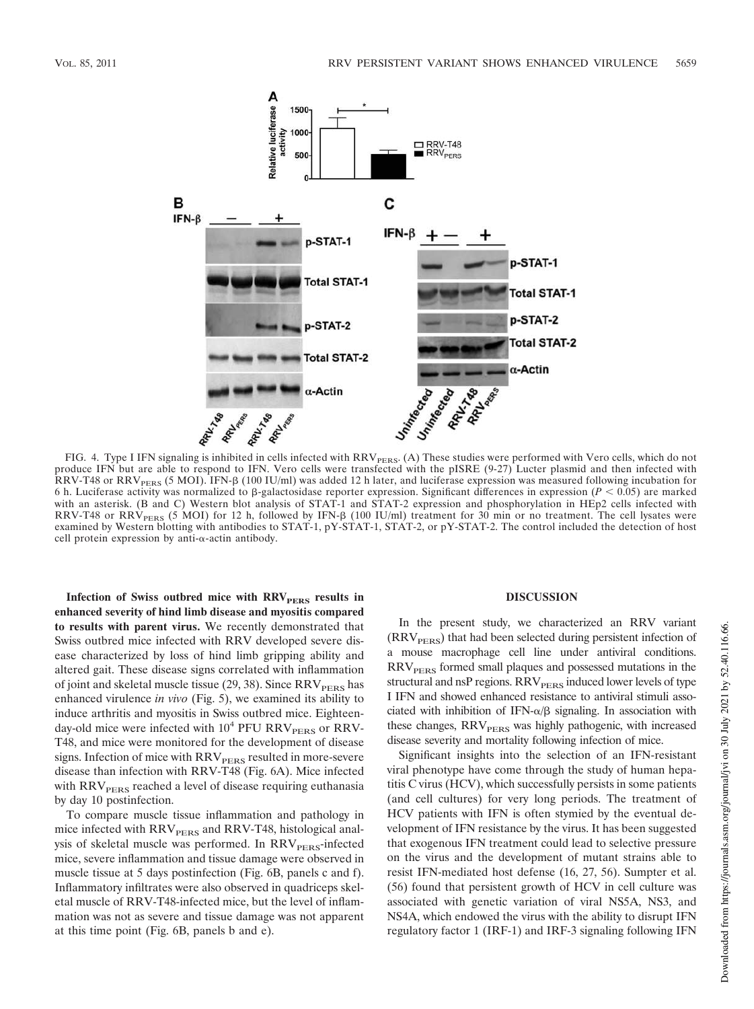

FIG. 4. Type I IFN signaling is inhibited in cells infected with RRV<sub>PERS</sub>. (A) These studies were performed with Vero cells, which do not produce IFN but are able to respond to IFN. Vero cells were transfected with the pISRE (9-27) Lucter plasmid and then infected with RRV-T48 or RRV<sub>PERS</sub> (5 MOI). IFN- $\beta$  (100 IU/ml) was added 12 h later, and luciferase expression was measured following incubation for 6 h. Luciferase activity was normalized to  $\beta$ -galactosidase reporter expression. Significant differences in expression ( $P < 0.05$ ) are marked with an asterisk. (B and C) Western blot analysis of STAT-1 and STAT-2 expression and phosphorylation in HEp2 cells infected with RRV-T48 or RRV<sub>PERS</sub> (5 MOI) for 12 h, followed by IFN- $\beta$  (100 IU/ml) treatment for 30 min or no treatment. The cell lysates were examined by Western blotting with antibodies to STAT-1, pY-STAT-1, STAT-2, or pY-STAT-2. The control included the detection of host cell protein expression by anti- $\alpha$ -actin antibody.

**Infection of Swiss outbred mice with RRV**<sub>PERS</sub> results in **enhanced severity of hind limb disease and myositis compared to results with parent virus.** We recently demonstrated that Swiss outbred mice infected with RRV developed severe disease characterized by loss of hind limb gripping ability and altered gait. These disease signs correlated with inflammation of joint and skeletal muscle tissue  $(29, 38)$ . Since RRV<sub>PERS</sub> has enhanced virulence *in vivo* (Fig. 5), we examined its ability to induce arthritis and myositis in Swiss outbred mice. Eighteenday-old mice were infected with  $10^4$  PFU RRV<sub>PERS</sub> or RRV-T48, and mice were monitored for the development of disease signs. Infection of mice with RRV<sub>PERS</sub> resulted in more-severe disease than infection with RRV-T48 (Fig. 6A). Mice infected with RRV<sub>PERS</sub> reached a level of disease requiring euthanasia by day 10 postinfection.

To compare muscle tissue inflammation and pathology in mice infected with RRV<sub>PERS</sub> and RRV-T48, histological analysis of skeletal muscle was performed. In RRV<sub>PERS</sub>-infected mice, severe inflammation and tissue damage were observed in muscle tissue at 5 days postinfection (Fig. 6B, panels c and f). Inflammatory infiltrates were also observed in quadriceps skeletal muscle of RRV-T48-infected mice, but the level of inflammation was not as severe and tissue damage was not apparent at this time point (Fig. 6B, panels b and e).

#### **DISCUSSION**

In the present study, we characterized an RRV variant  $(RRV<sub>PERS</sub>)$  that had been selected during persistent infection of a mouse macrophage cell line under antiviral conditions. RRV<sub>PERS</sub> formed small plaques and possessed mutations in the structural and nsP regions. RRV<sub>PERS</sub> induced lower levels of type I IFN and showed enhanced resistance to antiviral stimuli associated with inhibition of IFN- $\alpha/\beta$  signaling. In association with these changes, RRV<sub>PERS</sub> was highly pathogenic, with increased disease severity and mortality following infection of mice.

Significant insights into the selection of an IFN-resistant viral phenotype have come through the study of human hepatitis C virus (HCV), which successfully persists in some patients (and cell cultures) for very long periods. The treatment of HCV patients with IFN is often stymied by the eventual development of IFN resistance by the virus. It has been suggested that exogenous IFN treatment could lead to selective pressure on the virus and the development of mutant strains able to resist IFN-mediated host defense (16, 27, 56). Sumpter et al. (56) found that persistent growth of HCV in cell culture was associated with genetic variation of viral NS5A, NS3, and NS4A, which endowed the virus with the ability to disrupt IFN regulatory factor 1 (IRF-1) and IRF-3 signaling following IFN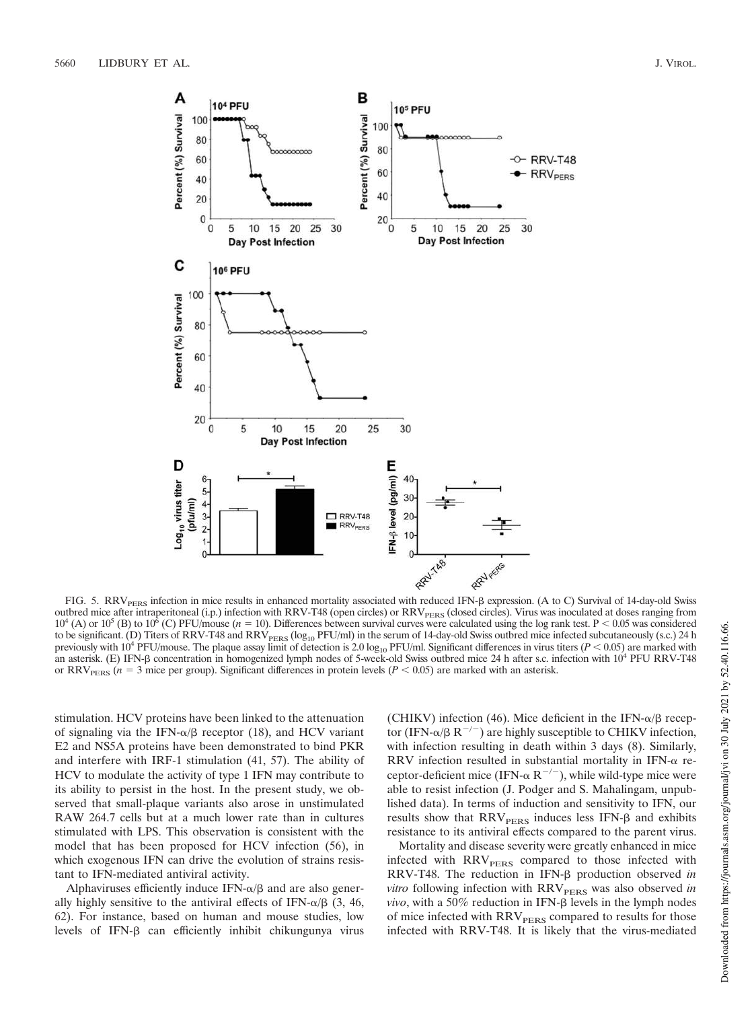

FIG. 5. RRV<sub>PERS</sub> infection in mice results in enhanced mortality associated with reduced IFN- $\beta$  expression. (A to C) Survival of 14-day-old Swiss outbred mice after intraperitoneal (i.p.) infection with RRV-T48 (open circles) or RRV<sub>PERS</sub> (closed circles). Virus was inoculated at doses ranging from  $10^4$  (A) or  $10^5$  (B) to  $10^6$  (C) PFU/mouse ( $n = 10$ ). Differences between survival curves were calculated using the log rank test. P < 0.05 was considered to be significant. (D) Titers of RRV-T48 and RRV<sub>PERS</sub> (log<sub>10</sub> PFU/ml) in the serum of 14-day-old Swiss outbred mice infected subcutaneously (s.c.) 24 h previously with  $10^4$  PFU/mouse. The plaque assay limit of detection is 2.0 log<sub>10</sub> PFU/ml. Significant differences in virus titers ( $P < 0.05$ ) are marked with an asterisk. (E) IFN-ß concentration in homogenized lymph nodes of 5-week-old Swiss outbred mice 24 h after s.c. infection with 10<sup>4</sup> PFU RRV-T48 or  $RRV<sub>pers</sub>$  ( $n = 3$  mice per group). Significant differences in protein levels ( $P < 0.05$ ) are marked with an asterisk.

stimulation. HCV proteins have been linked to the attenuation of signaling via the IFN- $\alpha/\beta$  receptor (18), and HCV variant E2 and NS5A proteins have been demonstrated to bind PKR and interfere with IRF-1 stimulation (41, 57). The ability of HCV to modulate the activity of type 1 IFN may contribute to its ability to persist in the host. In the present study, we observed that small-plaque variants also arose in unstimulated RAW 264.7 cells but at a much lower rate than in cultures stimulated with LPS. This observation is consistent with the model that has been proposed for HCV infection (56), in which exogenous IFN can drive the evolution of strains resistant to IFN-mediated antiviral activity.

Alphaviruses efficiently induce IFN- $\alpha/\beta$  and are also generally highly sensitive to the antiviral effects of IFN- $\alpha/\beta$  (3, 46, 62). For instance, based on human and mouse studies, low levels of IFN- $\beta$  can efficiently inhibit chikungunya virus

(CHIKV) infection (46). Mice deficient in the IFN- $\alpha/\beta$  receptor (IFN- $\alpha/\beta$  R<sup>-/-</sup>) are highly susceptible to CHIKV infection, with infection resulting in death within 3 days (8). Similarly, RRV infection resulted in substantial mortality in IFN- $\alpha$  receptor-deficient mice (IFN- $\alpha$  R<sup>-/-</sup>), while wild-type mice were able to resist infection (J. Podger and S. Mahalingam, unpublished data). In terms of induction and sensitivity to IFN, our results show that  $RRV<sub>PERS</sub>$  induces less IFN- $\beta$  and exhibits resistance to its antiviral effects compared to the parent virus.

Mortality and disease severity were greatly enhanced in mice infected with RRV<sub>PERS</sub> compared to those infected with RRV-T48. The reduction in IFN- $\beta$  production observed *in vitro* following infection with RRV<sub>PERS</sub> was also observed in  $vivo$ , with a 50% reduction in IFN- $\beta$  levels in the lymph nodes of mice infected with  $RRV<sub>PERS</sub>$  compared to results for those infected with RRV-T48. It is likely that the virus-mediated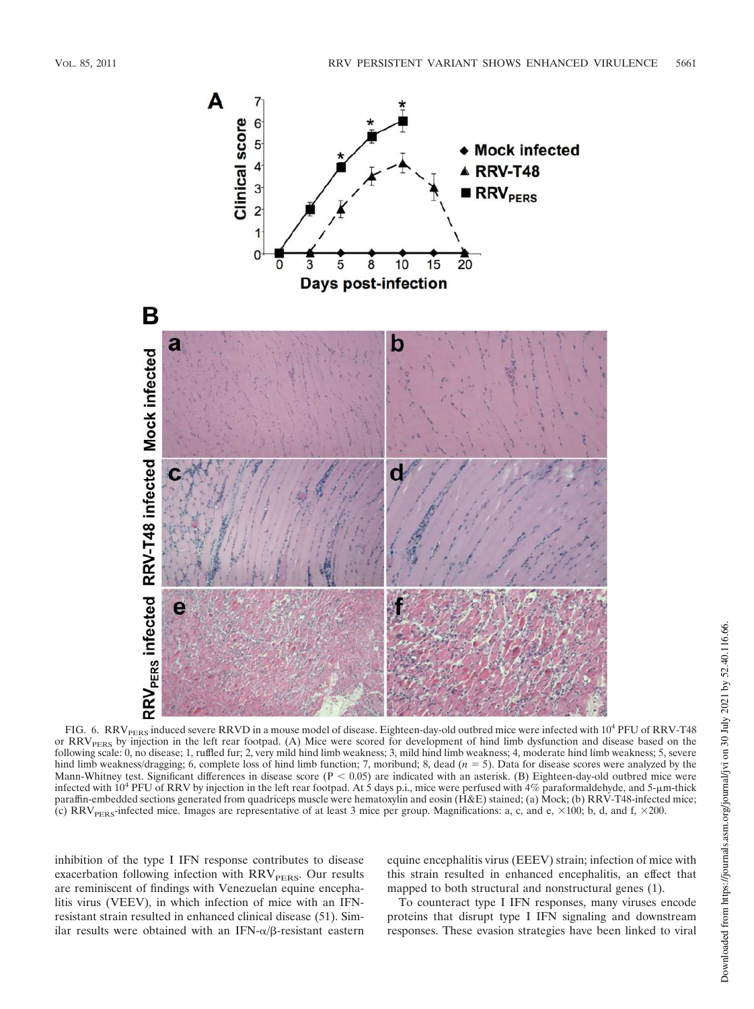

FIG. 6. RRV<sub>PERS</sub> induced severe RRVD in a mouse model of disease. Eighteen-day-old outbred mice were infected with 10<sup>4</sup> PFU of RRV-T48 or RRV<sub>PERS</sub> by injection in the left rear footpad. (A) Mice were scored for development of hind limb dysfunction and disease based on the following scale: 0, no disease; 1, ruffled fur; 2, very mild hind limb weakness; 3, mild hind limb weakness; 4, moderate hind limb weakness; 5, severe hind limb weakness/dragging; 6, complete loss of hind limb function; 7, moribund; 8, dead  $(n = 5)$ . Data for disease scores were analyzed by the Mann-Whitney test. Significant differences in disease score  $(P < 0.05)$  are indicated with an asterisk. (B) Eighteen-day-old outbred mice were infected with  $10^4$  PFU of RRV by injection in the left rear footpad. At 5 days p.i., mice were perfused with 4% paraformaldehyde, and 5- $\mu$ m-thick paraffin-embedded sections generated from quadriceps muscle were hematoxylin and eosin (H&E) stained; (a) Mock; (b) RRV-T48-infected mice; (c) RRV<sub>PERS</sub>-infected mice. Images are representative of at least 3 mice per group. Magnifications: a, c, and e,  $\times 100$ ; b, d, and f,  $\times 200$ .

inhibition of the type I IFN response contributes to disease exacerbation following infection with  $RRV<sub>PERS</sub>$ . Our results are reminiscent of findings with Venezuelan equine encephalitis virus (VEEV), in which infection of mice with an IFNresistant strain resulted in enhanced clinical disease (51). Similar results were obtained with an IFN- $\alpha/\beta$ -resistant eastern equine encephalitis virus (EEEV) strain; infection of mice with this strain resulted in enhanced encephalitis, an effect that mapped to both structural and nonstructural genes (1).

To counteract type I IFN responses, many viruses encode proteins that disrupt type I IFN signaling and downstream responses. These evasion strategies have been linked to viral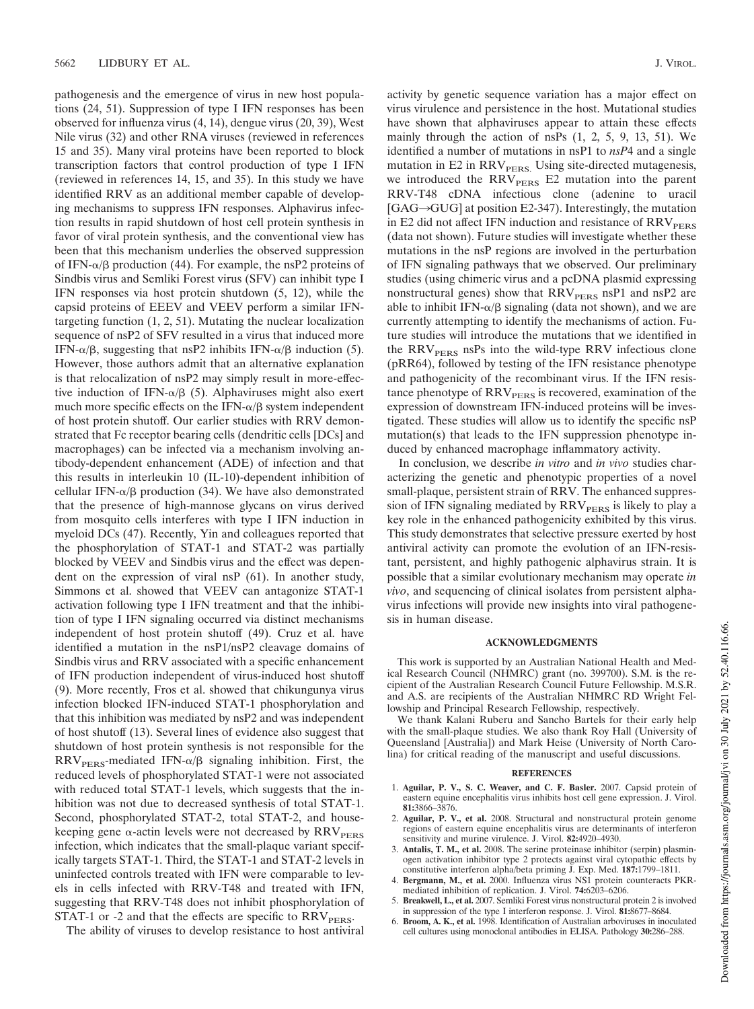pathogenesis and the emergence of virus in new host populations (24, 51). Suppression of type I IFN responses has been observed for influenza virus (4, 14), dengue virus (20, 39), West Nile virus (32) and other RNA viruses (reviewed in references 15 and 35). Many viral proteins have been reported to block transcription factors that control production of type I IFN (reviewed in references 14, 15, and 35). In this study we have identified RRV as an additional member capable of developing mechanisms to suppress IFN responses. Alphavirus infection results in rapid shutdown of host cell protein synthesis in favor of viral protein synthesis, and the conventional view has been that this mechanism underlies the observed suppression of IFN- $\alpha/\beta$  production (44). For example, the nsP2 proteins of Sindbis virus and Semliki Forest virus (SFV) can inhibit type I IFN responses via host protein shutdown (5, 12), while the capsid proteins of EEEV and VEEV perform a similar IFNtargeting function (1, 2, 51). Mutating the nuclear localization sequence of nsP2 of SFV resulted in a virus that induced more IFN- $\alpha/\beta$ , suggesting that nsP2 inhibits IFN- $\alpha/\beta$  induction (5). However, those authors admit that an alternative explanation is that relocalization of nsP2 may simply result in more-effective induction of IFN- $\alpha/\beta$  (5). Alphaviruses might also exert much more specific effects on the IFN- $\alpha/\beta$  system independent of host protein shutoff. Our earlier studies with RRV demonstrated that Fc receptor bearing cells (dendritic cells [DCs] and macrophages) can be infected via a mechanism involving antibody-dependent enhancement (ADE) of infection and that this results in interleukin 10 (IL-10)-dependent inhibition of cellular IFN- $\alpha/\beta$  production (34). We have also demonstrated that the presence of high-mannose glycans on virus derived from mosquito cells interferes with type I IFN induction in myeloid DCs (47). Recently, Yin and colleagues reported that the phosphorylation of STAT-1 and STAT-2 was partially blocked by VEEV and Sindbis virus and the effect was dependent on the expression of viral nsP (61). In another study, Simmons et al. showed that VEEV can antagonize STAT-1 activation following type I IFN treatment and that the inhibition of type I IFN signaling occurred via distinct mechanisms independent of host protein shutoff (49). Cruz et al. have identified a mutation in the nsP1/nsP2 cleavage domains of Sindbis virus and RRV associated with a specific enhancement of IFN production independent of virus-induced host shutoff (9). More recently, Fros et al. showed that chikungunya virus infection blocked IFN-induced STAT-1 phosphorylation and that this inhibition was mediated by nsP2 and was independent of host shutoff (13). Several lines of evidence also suggest that shutdown of host protein synthesis is not responsible for the  $RRV<sub>PERS</sub>$ -mediated IFN- $\alpha/\beta$  signaling inhibition. First, the reduced levels of phosphorylated STAT-1 were not associated with reduced total STAT-1 levels, which suggests that the inhibition was not due to decreased synthesis of total STAT-1. Second, phosphorylated STAT-2, total STAT-2, and housekeeping gene  $\alpha$ -actin levels were not decreased by  $\text{RRV}_{\text{PERS}}$ infection, which indicates that the small-plaque variant specifically targets STAT-1. Third, the STAT-1 and STAT-2 levels in uninfected controls treated with IFN were comparable to levels in cells infected with RRV-T48 and treated with IFN, suggesting that RRV-T48 does not inhibit phosphorylation of STAT-1 or -2 and that the effects are specific to  $RRV<sub>PERS</sub>$ .

The ability of viruses to develop resistance to host antiviral

activity by genetic sequence variation has a major effect on virus virulence and persistence in the host. Mutational studies have shown that alphaviruses appear to attain these effects mainly through the action of nsPs  $(1, 2, 5, 9, 13, 51)$ . We identified a number of mutations in nsP1 to *nsP*4 and a single mutation in E2 in RRV<sub>PERS.</sub> Using site-directed mutagenesis, we introduced the RRV<sub>PERS</sub> E2 mutation into the parent RRV-T48 cDNA infectious clone (adenine to uracil  $[GAG \rightarrow GUG]$  at position E2-347). Interestingly, the mutation in E2 did not affect IFN induction and resistance of  $RRV<sub>pers</sub>$ (data not shown). Future studies will investigate whether these mutations in the nsP regions are involved in the perturbation of IFN signaling pathways that we observed. Our preliminary studies (using chimeric virus and a pcDNA plasmid expressing nonstructural genes) show that  $RRV<sub>PERS</sub>$  nsP1 and nsP2 are able to inhibit IFN- $\alpha/\beta$  signaling (data not shown), and we are currently attempting to identify the mechanisms of action. Future studies will introduce the mutations that we identified in the  $RRV<sub>PERS</sub>$  nsPs into the wild-type RRV infectious clone (pRR64), followed by testing of the IFN resistance phenotype and pathogenicity of the recombinant virus. If the IFN resistance phenotype of RRV<sub>PERS</sub> is recovered, examination of the expression of downstream IFN-induced proteins will be investigated. These studies will allow us to identify the specific nsP mutation(s) that leads to the IFN suppression phenotype induced by enhanced macrophage inflammatory activity.

In conclusion, we describe *in vitro* and *in vivo* studies characterizing the genetic and phenotypic properties of a novel small-plaque, persistent strain of RRV. The enhanced suppression of IFN signaling mediated by RRV<sub>PERS</sub> is likely to play a key role in the enhanced pathogenicity exhibited by this virus. This study demonstrates that selective pressure exerted by host antiviral activity can promote the evolution of an IFN-resistant, persistent, and highly pathogenic alphavirus strain. It is possible that a similar evolutionary mechanism may operate *in vivo*, and sequencing of clinical isolates from persistent alphavirus infections will provide new insights into viral pathogenesis in human disease.

### **ACKNOWLEDGMENTS**

This work is supported by an Australian National Health and Medical Research Council (NHMRC) grant (no. 399700). S.M. is the recipient of the Australian Research Council Future Fellowship. M.S.R. and A.S. are recipients of the Australian NHMRC RD Wright Fellowship and Principal Research Fellowship, respectively.

We thank Kalani Ruberu and Sancho Bartels for their early help with the small-plaque studies. We also thank Roy Hall (University of Queensland [Australia]) and Mark Heise (University of North Carolina) for critical reading of the manuscript and useful discussions.

#### **REFERENCES**

- 1. **Aguilar, P. V., S. C. Weaver, and C. F. Basler.** 2007. Capsid protein of eastern equine encephalitis virus inhibits host cell gene expression. J. Virol. **81:**3866–3876.
- 2. **Aguilar, P. V., et al.** 2008. Structural and nonstructural protein genome regions of eastern equine encephalitis virus are determinants of interferon sensitivity and murine virulence. J. Virol. **82:**4920–4930.
- 3. **Antalis, T. M., et al.** 2008. The serine proteinase inhibitor (serpin) plasminogen activation inhibitor type 2 protects against viral cytopathic effects by constitutive interferon alpha/beta priming J. Exp. Med. **187:**1799–1811.
- 4. **Bergmann, M., et al.** 2000. Influenza virus NS1 protein counteracts PKRmediated inhibition of replication. J. Virol. **74:**6203–6206.
- 5. **Breakwell, L., et al.** 2007. Semliki Forest virus nonstructural protein 2 is involved in suppression of the type I interferon response. J. Virol. **81:**8677–8684.
- 6. **Broom, A. K., et al.** 1998. Identification of Australian arboviruses in inoculated cell cultures using monoclonal antibodies in ELISA. Pathology **30:**286–288.